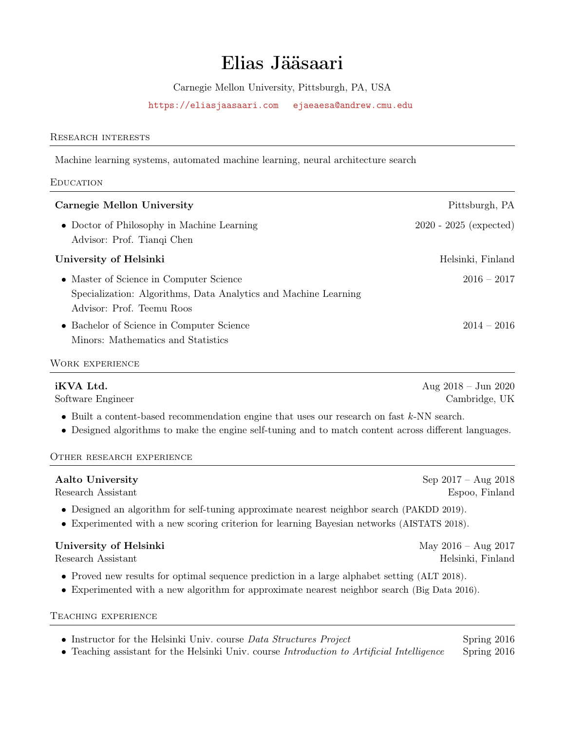# Elias Jääsaari

Carnegie Mellon University, Pittsburgh, PA, USA

<https://eliasjaasaari.com> <ejaeaesa@andrew.cmu.edu>

## Research interests

Machine learning systems, automated machine learning, neural architecture search

**EDUCATION** 

| Carnegie Mellon University                                                                                                              | Pittsburgh, PA           |
|-----------------------------------------------------------------------------------------------------------------------------------------|--------------------------|
| • Doctor of Philosophy in Machine Learning<br>Advisor: Prof. Tianqi Chen                                                                | $2020 - 2025$ (expected) |
| University of Helsinki                                                                                                                  | Helsinki, Finland        |
| • Master of Science in Computer Science<br>Specialization: Algorithms, Data Analytics and Machine Learning<br>Advisor: Prof. Teemu Roos | $2016 - 2017$            |
| • Bachelor of Science in Computer Science<br>Minors: Mathematics and Statistics                                                         | $2014 - 2016$            |
| WORK EXPERIENCE                                                                                                                         |                          |

Aug 2018 – Jun 2020 Software Engineer Cambridge, UK

• Built a content-based recommendation engine that uses our research on fast k-NN search.

• Designed algorithms to make the engine self-tuning and to match content across different languages.

#### Other research experience

| <b>Aalto University</b>                                                                                                                                                                      | Sep $2017 - Aug 2018$ |
|----------------------------------------------------------------------------------------------------------------------------------------------------------------------------------------------|-----------------------|
| Research Assistant                                                                                                                                                                           | Espoo, Finland        |
| • Designed an algorithm for self-tuning approximate nearest neighbor search (PAKDD 2019).<br>• Experimented with a new scoring criterion for learning Bayesian networks (AISTATS 2018).      |                       |
| University of Helsinki                                                                                                                                                                       | May $2016 - Aug 2017$ |
| Research Assistant                                                                                                                                                                           | Helsinki, Finland     |
| • Proved new results for optimal sequence prediction in a large alphabet setting (ALT 2018).<br>• Experimented with a new algorithm for approximate nearest neighbor search (Big Data 2016). |                       |

Teaching experience

| • Instructor for the Helsinki Univ. course Data Structures Project                         | Spring $2016$ |
|--------------------------------------------------------------------------------------------|---------------|
| • Teaching assistant for the Helsinki Univ. course Introduction to Artificial Intelligence | Spring 2016   |